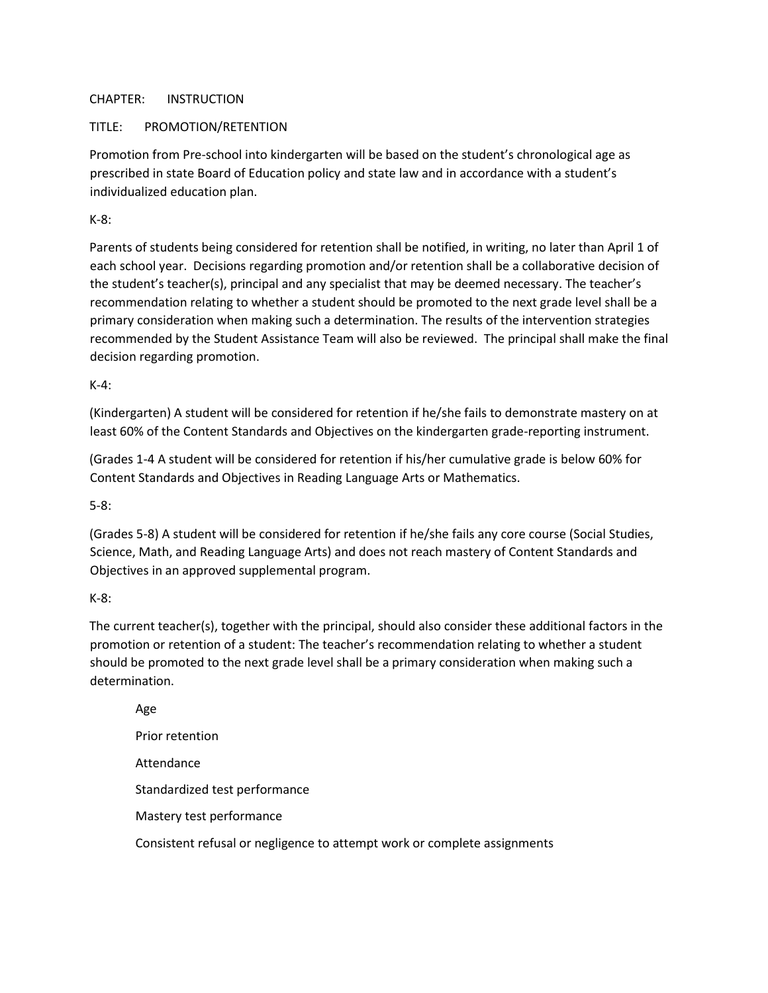## CHAPTER: INSTRUCTION

## TITLE: PROMOTION/RETENTION

Promotion from Pre-school into kindergarten will be based on the student's chronological age as prescribed in state Board of Education policy and state law and in accordance with a student's individualized education plan.

K-8:

Parents of students being considered for retention shall be notified, in writing, no later than April 1 of each school year. Decisions regarding promotion and/or retention shall be a collaborative decision of the student's teacher(s), principal and any specialist that may be deemed necessary. The teacher's recommendation relating to whether a student should be promoted to the next grade level shall be a primary consideration when making such a determination. The results of the intervention strategies recommended by the Student Assistance Team will also be reviewed. The principal shall make the final decision regarding promotion.

K-4:

(Kindergarten) A student will be considered for retention if he/she fails to demonstrate mastery on at least 60% of the Content Standards and Objectives on the kindergarten grade-reporting instrument.

(Grades 1-4 A student will be considered for retention if his/her cumulative grade is below 60% for Content Standards and Objectives in Reading Language Arts or Mathematics.

5-8:

(Grades 5-8) A student will be considered for retention if he/she fails any core course (Social Studies, Science, Math, and Reading Language Arts) and does not reach mastery of Content Standards and Objectives in an approved supplemental program.

K-8:

The current teacher(s), together with the principal, should also consider these additional factors in the promotion or retention of a student: The teacher's recommendation relating to whether a student should be promoted to the next grade level shall be a primary consideration when making such a determination.

Age Prior retention Attendance Standardized test performance Mastery test performance Consistent refusal or negligence to attempt work or complete assignments